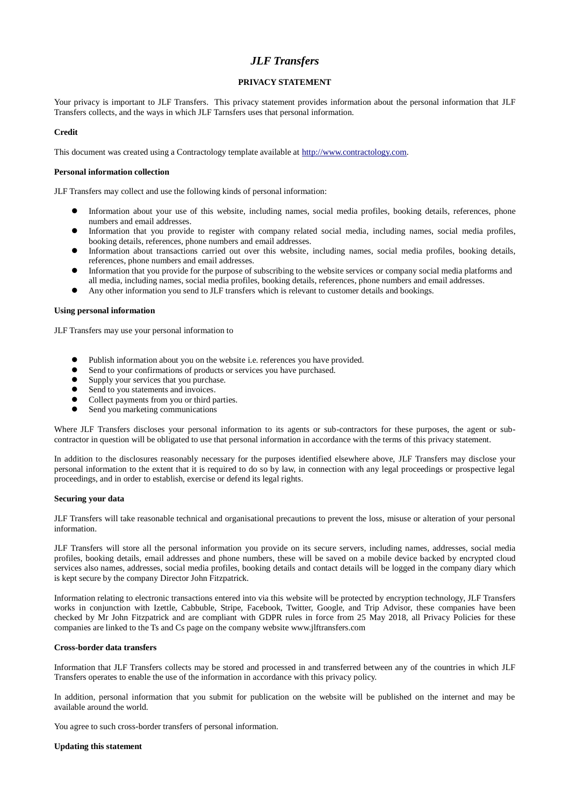# *JLF Transfers*

# **PRIVACY STATEMENT**

Your privacy is important to JLF Transfers. This privacy statement provides information about the personal information that JLF Transfers collects, and the ways in which JLF Tarnsfers uses that personal information.

## **Credit**

This document was created using a Contractology template available at [http://www.contractology.com.](http://www.contractology.com/)

## **Personal information collection**

JLF Transfers may collect and use the following kinds of personal information:

- ⚫ Information about your use of this website, including names, social media profiles, booking details, references, phone numbers and email addresses.
- ⚫ Information that you provide to register with company related social media, including names, social media profiles, booking details, references, phone numbers and email addresses.
- ⚫ Information about transactions carried out over this website, including names, social media profiles, booking details, references, phone numbers and email addresses.
- ⚫ Information that you provide for the purpose of subscribing to the website services or company social media platforms and all media, including names, social media profiles, booking details, references, phone numbers and email addresses.
- ⚫ Any other information you send to JLF transfers which is relevant to customer details and bookings.

## **Using personal information**

JLF Transfers may use your personal information to

- ⚫ Publish information about you on the website i.e. references you have provided.
- ⚫ Send to your confirmations of products or services you have purchased.
- ⚫ Supply your services that you purchase.
- Send to you statements and invoices.
- Collect payments from you or third parties.<br>• Sand you marketing communications.
- ⚫ Send you marketing communications

Where JLF Transfers discloses your personal information to its agents or sub-contractors for these purposes, the agent or subcontractor in question will be obligated to use that personal information in accordance with the terms of this privacy statement.

In addition to the disclosures reasonably necessary for the purposes identified elsewhere above, JLF Transfers may disclose your personal information to the extent that it is required to do so by law, in connection with any legal proceedings or prospective legal proceedings, and in order to establish, exercise or defend its legal rights.

#### **Securing your data**

JLF Transfers will take reasonable technical and organisational precautions to prevent the loss, misuse or alteration of your personal information.

JLF Transfers will store all the personal information you provide on its secure servers, including names, addresses, social media profiles, booking details, email addresses and phone numbers, these will be saved on a mobile device backed by encrypted cloud services also names, addresses, social media profiles, booking details and contact details will be logged in the company diary which is kept secure by the company Director John Fitzpatrick.

Information relating to electronic transactions entered into via this website will be protected by encryption technology, JLF Transfers works in conjunction with Izettle, Cabbuble, Stripe, Facebook, Twitter, Google, and Trip Advisor, these companies have been checked by Mr John Fitzpatrick and are compliant with GDPR rules in force from 25 May 2018, all Privacy Policies for these companies are linked to the Ts and Cs page on the company website www.jlftransfers.com

## **Cross-border data transfers**

Information that JLF Transfers collects may be stored and processed in and transferred between any of the countries in which JLF Transfers operates to enable the use of the information in accordance with this privacy policy.

In addition, personal information that you submit for publication on the website will be published on the internet and may be available around the world.

You agree to such cross-border transfers of personal information.

#### **Updating this statement**